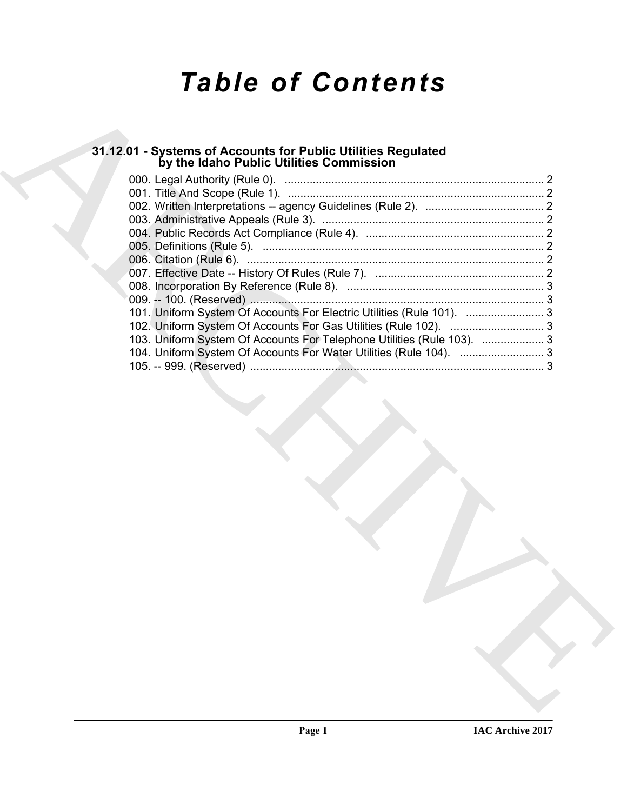# *Table of Contents*

# **31.12.01 - Systems of Accounts for Public Utilities Regulated by the Idaho Public Utilities Commission**

| 31.12.01 - Systems of Accounts for Public Utilities Regulated<br>by the Idaho Public Utilities Commission |  |
|-----------------------------------------------------------------------------------------------------------|--|
|                                                                                                           |  |
|                                                                                                           |  |
|                                                                                                           |  |
|                                                                                                           |  |
|                                                                                                           |  |
|                                                                                                           |  |
|                                                                                                           |  |
|                                                                                                           |  |
| 101. Uniform System Of Accounts For Electric Utilities (Rule 101).  3                                     |  |
|                                                                                                           |  |
| 103. Uniform System Of Accounts For Telephone Utilities (Rule 103).  3                                    |  |
| 104. Uniform System Of Accounts For Water Utilities (Rule 104).  3                                        |  |
|                                                                                                           |  |
|                                                                                                           |  |
|                                                                                                           |  |
|                                                                                                           |  |
|                                                                                                           |  |
|                                                                                                           |  |
|                                                                                                           |  |
|                                                                                                           |  |
|                                                                                                           |  |
|                                                                                                           |  |
|                                                                                                           |  |
|                                                                                                           |  |
|                                                                                                           |  |
|                                                                                                           |  |
|                                                                                                           |  |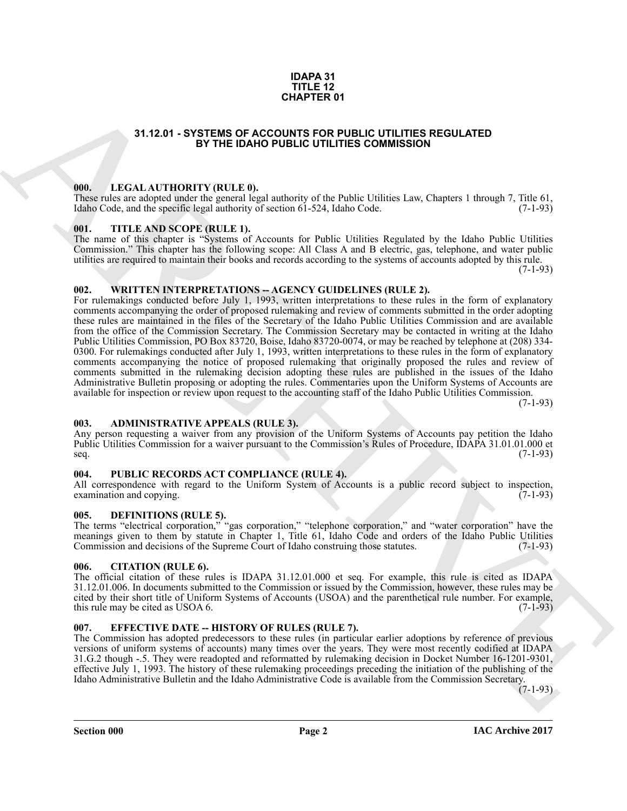#### **IDAPA 31 TITLE 12 CHAPTER 01**

### **31.12.01 - SYSTEMS OF ACCOUNTS FOR PUBLIC UTILITIES REGULATED BY THE IDAHO PUBLIC UTILITIES COMMISSION**

#### <span id="page-1-1"></span><span id="page-1-0"></span>**000. LEGAL AUTHORITY (RULE 0).**

These rules are adopted under the general legal authority of the Public Utilities Law, Chapters 1 through 7, Title 61,<br>Idaho Code, and the specific legal authority of section 61-524, Idaho Code. (7-1-93) Idaho Code, and the specific legal authority of section 61-524, Idaho Code.

#### <span id="page-1-2"></span>**001. TITLE AND SCOPE (RULE 1).**

The name of this chapter is "Systems of Accounts for Public Utilities Regulated by the Idaho Public Utilities Commission." This chapter has the following scope: All Class A and B electric, gas, telephone, and water public utilities are required to maintain their books and records according to the systems of accounts adopted by this rule.

 $(7-1-93)$ 

#### <span id="page-1-3"></span>**002. WRITTEN INTERPRETATIONS -- AGENCY GUIDELINES (RULE 2).**

**31.12.61** - **SYSTEMS OF ACCOUNTS FOR COMPARITY (SILLER)**<br> **CONVERGENT CONTINUES CONVERGES CONVERGES CONVERGES CONVERGES (SILLER)**<br> **CONVERGES CONVERGES CONVERGES CONVERGES** CONVERGES CONVERGES CONVERGES (SILLER) (1993)<br> For rulemakings conducted before July 1, 1993, written interpretations to these rules in the form of explanatory comments accompanying the order of proposed rulemaking and review of comments submitted in the order adopting these rules are maintained in the files of the Secretary of the Idaho Public Utilities Commission and are available from the office of the Commission Secretary. The Commission Secretary may be contacted in writing at the Idaho Public Utilities Commission, PO Box 83720, Boise, Idaho 83720-0074, or may be reached by telephone at (208) 334- 0300. For rulemakings conducted after July 1, 1993, written interpretations to these rules in the form of explanatory comments accompanying the notice of proposed rulemaking that originally proposed the rules and review of comments submitted in the rulemaking decision adopting these rules are published in the issues of the Idaho Administrative Bulletin proposing or adopting the rules. Commentaries upon the Uniform Systems of Accounts are available for inspection or review upon request to the accounting staff of the Idaho Public Utilities Commission.

 $(7-1-93)$ 

#### <span id="page-1-4"></span>**003. ADMINISTRATIVE APPEALS (RULE 3).**

Any person requesting a waiver from any provision of the Uniform Systems of Accounts pay petition the Idaho Public Utilities Commission for a waiver pursuant to the Commission's Rules of Procedure, IDAPA 31.01.01.000 et  $\text{seq.}$  (7-1-93)

### <span id="page-1-5"></span>**004. PUBLIC RECORDS ACT COMPLIANCE (RULE 4).**

All correspondence with regard to the Uniform System of Accounts is a public record subject to inspection, examination and copying. (7-1-93) examination and copying.

#### <span id="page-1-9"></span><span id="page-1-6"></span>**005. DEFINITIONS (RULE 5).**

The terms "electrical corporation," "gas corporation," "telephone corporation," and "water corporation" have the meanings given to them by statute in Chapter 1, Title 61, Idaho Code and orders of the Idaho Public Utilities Commission and decisions of the Supreme Court of Idaho construing those statutes. (7-1-93)

#### <span id="page-1-7"></span>**006. CITATION (RULE 6).**

The official citation of these rules is IDAPA 31.12.01.000 et seq. For example, this rule is cited as IDAPA 31.12.01.006. In documents submitted to the Commission or issued by the Commission, however, these rules may be cited by their short title of Uniform Systems of Accounts (USOA) and the parenthetical rule number. For example, this rule may be cited as USOA 6. (7-1-93)

### <span id="page-1-8"></span>**007. EFFECTIVE DATE -- HISTORY OF RULES (RULE 7).**

The Commission has adopted predecessors to these rules (in particular earlier adoptions by reference of previous versions of uniform systems of accounts) many times over the years. They were most recently codified at IDAPA 31.G.2 though -.5. They were readopted and reformatted by rulemaking decision in Docket Number 16-1201-9301, effective July 1, 1993. The history of these rulemaking proceedings preceding the initiation of the publishing of the Idaho Administrative Bulletin and the Idaho Administrative Code is available from the Commission Secretary.

(7-1-93)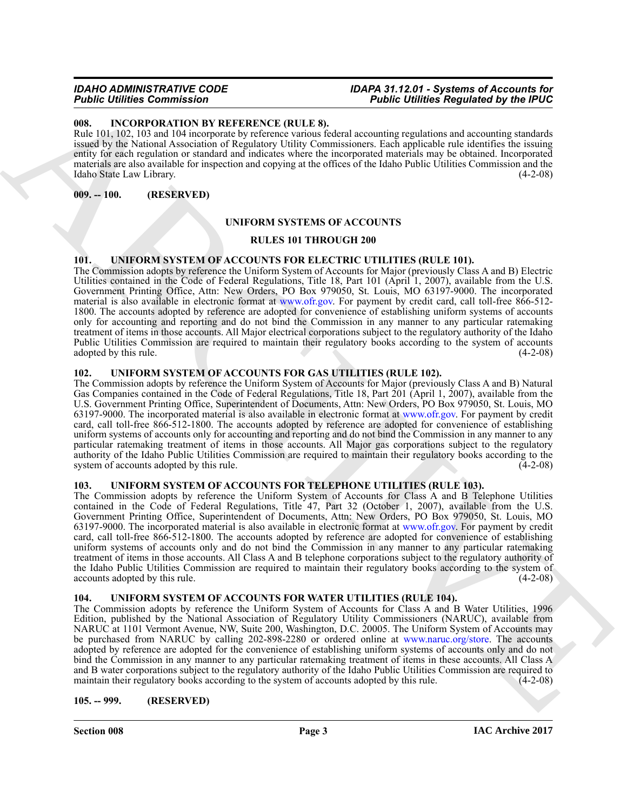#### *IDAHO ADMINISTRATIVE CODE IDAPA 31.12.01 - Systems of Accounts for* **Public Utilities Regulated by the IPUC**

#### <span id="page-2-7"></span><span id="page-2-0"></span>**008. INCORPORATION BY REFERENCE (RULE 8).**

Rule 101, 102, 103 and 104 incorporate by reference various federal accounting regulations and accounting standards issued by the National Association of Regulatory Utility Commissioners. Each applicable rule identifies the issuing entity for each regulation or standard and indicates where the incorporated materials may be obtained. Incorporated materials are also available for inspection and copying at the offices of the Idaho Public Utilities Commission and the Idaho State Law Library. (4-2-08)

<span id="page-2-1"></span>**009. -- 100. (RESERVED)**

### **UNIFORM SYSTEMS OF ACCOUNTS**

#### **RULES 101 THROUGH 200**

#### <span id="page-2-8"></span><span id="page-2-2"></span>**101. UNIFORM SYSTEM OF ACCOUNTS FOR ELECTRIC UTILITIES (RULE 101).**

The Commission adopts by reference the Uniform System of Accounts for Major (previously Class A and B) Electric Utilities contained in the Code of Federal Regulations, Title 18, Part 101 (April 1, 2007), available from the U.S. Government Printing Office, Attn: New Orders, PO Box 979050, St. Louis, MO 63197-9000. The incorporated material is also available in electronic format at www.ofr.gov. For payment by credit card, call toll-free 866-512- 1800. The accounts adopted by reference are adopted for convenience of establishing uniform systems of accounts only for accounting and reporting and do not bind the Commission in any manner to any particular ratemaking treatment of items in those accounts. All Major electrical corporations subject to the regulatory authority of the Idaho Public Utilities Commission are required to maintain their regulatory books according to the system of accounts adopted by this rule. (4-2-08)

#### <span id="page-2-9"></span><span id="page-2-3"></span>**102. UNIFORM SYSTEM OF ACCOUNTS FOR GAS UTILITIES (RULE 102).**

The Commission adopts by reference the Uniform System of Accounts for Major (previously Class A and B) Natural Gas Companies contained in the Code of Federal Regulations, Title 18, Part 201 (April 1, 2007), available from the U.S. Government Printing Office, Superintendent of Documents, Attn: New Orders, PO Box 979050, St. Louis, MO 63197-9000. The incorporated material is also available in electronic format at www.ofr.gov. For payment by credit card, call toll-free 866-512-1800. The accounts adopted by reference are adopted for convenience of establishing uniform systems of accounts only for accounting and reporting and do not bind the Commission in any manner to any particular ratemaking treatment of items in those accounts. All Major gas corporations subject to the regulatory authority of the Idaho Public Utilities Commission are required to maintain their regulatory books according to the system of accounts adopted by this rule.

#### <span id="page-2-10"></span><span id="page-2-4"></span>**103. UNIFORM SYSTEM OF ACCOUNTS FOR TELEPHONE UTILITIES (RULE 103).**

**Fourier Commutation**<br> **FOURIER COMPUTER CONTINUES (FOURIER SECURITES)**<br> **EVALUATION CONTINUES (FOURIER SECURITES)**<br> **EVALUATION CONTINUES (FOURIER SECURITES)**<br> **EVALUATION CONTINUES (FOURIER SECURITES)**<br> **EVALUATION CONT** The Commission adopts by reference the Uniform System of Accounts for Class A and B Telephone Utilities contained in the Code of Federal Regulations, Title 47, Part 32 (October 1, 2007), available from the U.S. Government Printing Office, Superintendent of Documents, Attn: New Orders, PO Box 979050, St. Louis, MO 63197-9000. The incorporated material is also available in electronic format at www.ofr.gov. For payment by credit card, call toll-free 866-512-1800. The accounts adopted by reference are adopted for convenience of establishing uniform systems of accounts only and do not bind the Commission in any manner to any particular ratemaking treatment of items in those accounts. All Class A and B telephone corporations subject to the regulatory authority of the Idaho Public Utilities Commission are required to maintain their regulatory books according to the system of accounts adopted by this rule. (4-2-08)

#### <span id="page-2-11"></span><span id="page-2-5"></span>**104. UNIFORM SYSTEM OF ACCOUNTS FOR WATER UTILITIES (RULE 104).**

The Commission adopts by reference the Uniform System of Accounts for Class A and B Water Utilities, 1996 Edition, published by the National Association of Regulatory Utility Commissioners (NARUC), available from NARUC at 1101 Vermont Avenue, NW, Suite 200, Washington, D.C. 20005. The Uniform System of Accounts may be purchased from NARUC by calling 202-898-2280 or ordered online at www.naruc.org/store. The accounts adopted by reference are adopted for the convenience of establishing uniform systems of accounts only and do not bind the Commission in any manner to any particular ratemaking treatment of items in these accounts. All Class A and B water corporations subject to the regulatory authority of the Idaho Public Utilities Commission are required to maintain their regulatory books according to the system of accounts adopted by this rule. (4-2-08) maintain their regulatory books according to the system of accounts adopted by this rule.

#### <span id="page-2-6"></span>**105. -- 999. (RESERVED)**

**Section 008 Page 3**